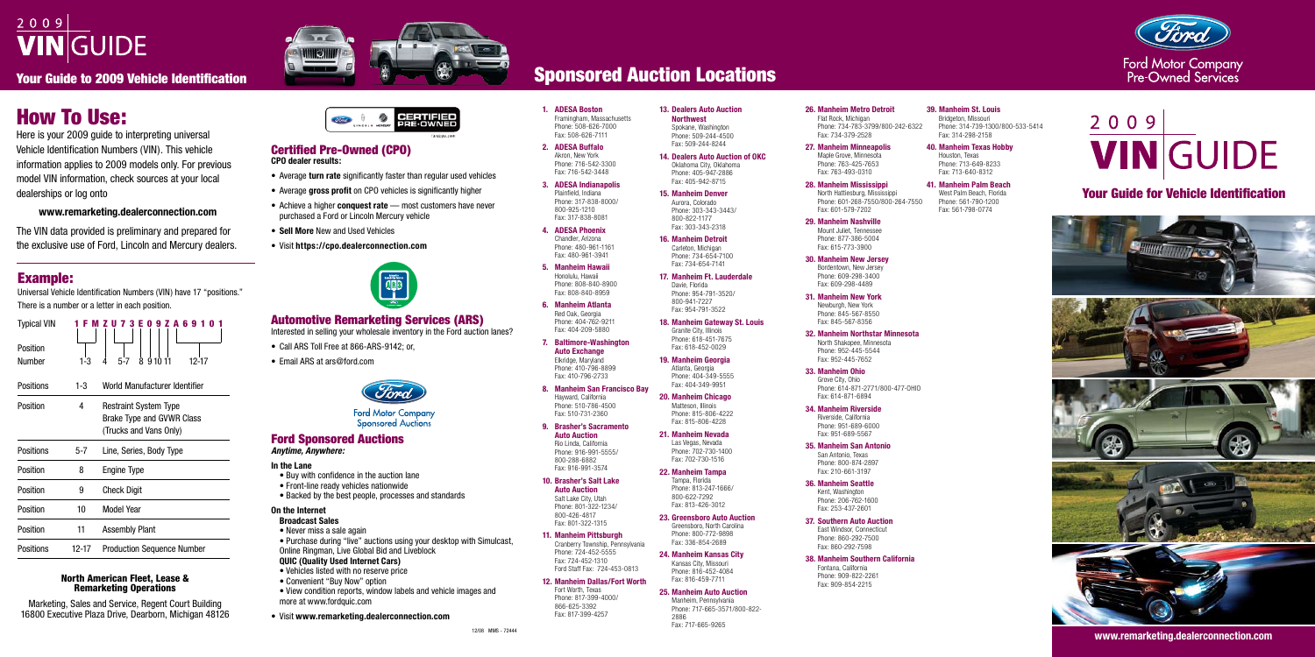# $2009$ **VIN**GUIDE

Your Guide to 2009 Vehicle Identification

# How To Use:

Here is your 2009 guide to interpreting universal Vehicle Identification Numbers (VIN). This vehicle information applies to 2009 models only. For previous model VIN information, check sources at your local dealerships or log onto

### **www.remarketing.dealerconnection.com**

The VIN data provided is preliminary and prepared for the exclusive use of Ford, Lincoln and Mercury dealers.

- **1. ADESA Boston** Framingham, Massachusetts Phone: 508-626-7000 Fax: 508-626-7111
- **2. ADESA Buffalo** Akron, New York Phone: 716-542-3300 Fax: 716-542-3448
- **3. ADESA Indianapolis** Plainfield, Indiana Phone: 317-838-8000/ 800-925-1210 Fax: 317-838-8081
- **4. ADESA Phoenix** Chandler, Arizona Phone: 480-961-1161 Fax: 480-961-3941

**5. Manheim Hawaii** Honolulu, Hawaii Phone: 808-840-8900 Fax: 808-840-8959

**6. Manheim Atlanta** Red Oak, Georgia Phone: 404-762-9211 Fax: 404-209-5880

**7. Baltimore-Washington Auto Exchange** Elkridge, Maryland Phone: 410-796-8899 Fax: 410-796-2733

**8. Manheim San Francisco Bay** Hayward, California Phone: 510-786-4500 Fax: 510-731-2360

**9. Brasher's Sacramento Auto Auction** Rio Linda, California Phone: 916-991-5555/ 800-288-6882 Fax: 916-991-3574

**10. Brasher's Salt Lake Auto Auction** Salt Lake City, Utah Phone: 801-322-1234/ 800-426-4817 Fax: 801-322-1315

**11. Manheim Pittsburgh** Cranberry Township, Pennsylvania Phone: 724-452-5555 Fax: 724-452-1310 Ford Staff Fax: 724-453-0813

Flat Rock, Michigan Phone: 734-783-3799/800-242-6322 Fax: 734-379-2528

**12. Manheim Dallas/Fort Worth** 

Fort Worth, Texas Phone: 817-399-4000/ 866-625-3392 Fax: 817-399-4257

#### **13. Dealers Auto Auction Northwest** Spokane, Washington Phone: 509-244-4500 Fax: 509-244-8244

**14. Dealers Auto Auction of OKC** Oklahoma City, Oklahoma Phone: 405-947-2886 Fax: 405-942-8715

**15. Manheim Denver** Aurora, Colorado Phone: 303-343-3443/ 800-822-1177 Fax: 303-343-2318

**16. Manheim Detroit** Carleton, Michigan Phone: 734-654-7100 Fax: 734-654-7141

**17. Manheim Ft. Lauderdale** Davie, Florida Phone: 954-791-3520/ 800-941-7227 Fax: 954-791-3522

**18. Manheim Gateway St. Louis** Granite City, Illinois Phone: 618-451-7675 Fax: 618-452-0029

**19. Manheim Georgia** Atlanta, Georgia Phone: 404-349-5555 Fax: 404-349-9951

**20. Manheim Chicago** Matteson, Illinois Phone: 815-806-4222 Fax: 815-806-4228

**21. Manheim Nevada** Las Vegas, Nevada Phone: 702-730-1400 Fax: 702-730-1516

**22. Manheim Tampa** Tampa, Florida Phone: 813-247-1666/ 800-622-7292 Fax: 813-426-3012

**23. Greensboro Auto Auction** Greensboro, North Carolina Phone: 800-772-9898 Fax: 336-854-2689

**24. Manheim Kansas City** Kansas City, Missouri Phone: 816-452-4084 Fax: 816-459-7711

- Average **turn rate** significantly faster than regular used vehicles
- Average gross profit on CPO vehicles is significantly higher
- • Achieve a higher **conquest rate** most customers have never purchased a Ford or Lincoln Mercury vehicle
- • **Sell More** New and Used Vehicles
- • Visit **https://cpo.dealerconnection.com**



**25. Manheim Auto Auction**  Manheim, Pennsylvania Phone: 717-665-3571/800-822- 2886 Fax: 717-665-9265



- Call ARS Toll Free at 866-ARS-9142; or,
- • Email ARS at ars@ford.com



**Ford Motor Company Sponsored Auctions** 

#### **26. Manheim Metro Detroit**

#### **27. Manheim Minneapolis** Maple Grove, Minnesota Phone: 763-425-7653

Fax: 763-493-0310

#### **28. Manheim Mississippi**

North Hattiesburg, Mississippi Phone: 601-268-7550/800-264-7550 Fax: 601-579-7202

#### **29. Manheim Nashville**

Mount Juliet, Tennessee Phone: 877-386-5004 Fax: 615-773-3900

#### **30. Manheim New Jersey**

Bordentown, New Jersey Phone: 609-298-3400 Fax: 609-298-4489

#### **31. Manheim New York**

Newburgh, New York Phone: 845-567-8550 Fax: 845-567-8356

#### **32. Manheim Northstar Minnesota**

North Shakopee, Minnesota Phone: 952-445-5544 Fax: 952-445-7652

#### **33. Manheim Ohio**

Grove City, Ohio Phone: 614-871-2771/800-477-OHIO Fax: 614-871-6894

#### **34. Manheim Riverside**

Riverside, California Phone: 951-689-6000 Fax: 951-689-5567

#### **35. Manheim San Antonio**

San Antonio, Texas Phone: 800-874-2897 Fax: 210-661-3197

#### **36. Manheim Seattle**

Kent, Washington Phone: 206-762-1600 Fax: 253-437-2601

#### **37. Southern Auto Auction**

East Windsor, Connecticut Phone: 860-292-7500 Fax: 860-292-7598

#### **38. Manheim Southern California**

Fontana, California Phone: 909-822-2261 Fax: 909-854-2215

#### **39. Manheim St. Louis** Bridgeton, Missouri

Phone: 314-739-1300/800-533-5414 Fax: 314-298-2158

#### **40. Manheim Texas Hobby** Houston, Texas Phone: 713-649-8233 Fax: 713-640-8312

**41. Manheim Palm Beach** West Palm Beach, Florida Phone: 561-790-1200 Fax: 561-798-0774

# 2009 **VINGUIDE**

# Example:

Universal Vehicle Identification Numbers (VIN) have 17 "positions." There is a number or a letter in each position.

| <b>Typical VIN</b><br>Position |       | 09ZA6<br>Z U<br>3<br>F                                                              |  |  |  |  |
|--------------------------------|-------|-------------------------------------------------------------------------------------|--|--|--|--|
| Number                         | 1-3   | 91011<br>$12 - 17$<br>8<br>5-7                                                      |  |  |  |  |
| Positions                      | 1-3   | World Manufacturer Identifier                                                       |  |  |  |  |
| Position                       | 4     | <b>Restraint System Type</b><br>Brake Type and GVWR Class<br>(Trucks and Vans Only) |  |  |  |  |
| Positions                      | 5-7   | Line, Series, Body Type                                                             |  |  |  |  |
| Position                       | 8     | <b>Engine Type</b>                                                                  |  |  |  |  |
| Position                       | 9     | Check Digit                                                                         |  |  |  |  |
| Position                       | 10    | <b>Model Year</b>                                                                   |  |  |  |  |
| Position                       | 11    | <b>Assembly Plant</b>                                                               |  |  |  |  |
| Positions                      | 12-17 | <b>Production Sequence Number</b>                                                   |  |  |  |  |

#### North American Fleet, Lease & Remarketing Operations

Marketing, Sales and Service, Regent Court Building 16800 Executive Plaza Drive, Dearborn, Michigan 48126





# Sponsored Auction Locations

#### Certified Pre-Owned (CPO) **CPO dealer results:**

## Automotive Remarketing Services (ARS)

Interested in selling your wholesale inventory in the Ford auction lanes?

## Ford Sponsored Auctions

*Anytime, Anywhere:*

#### **In the Lane**

- Buy with confidence in the auction lane
- Front-line ready vehicles nationwide
- Backed by the best people, processes and standards

#### **On the Internet**

- **Broadcast Sales**
- Never miss a sale again
- Purchase during "live" auctions using your desktop with Simulcast, Online Ringman, Live Global Bid and Liveblock **QUIC (Quality Used Internet Cars)**
- Vehicles listed with no reserve price
- Convenient "Buy Now" option

• View condition reports, window labels and vehicle images and more at www.fordquic.com

• Visit **www.remarketing.dealerconnection.com**

## Your Guide for Vehicle Identification



# TREASURE THE CONSULTER SECTION OF SECTION AND RESIDENCE IN A SUBSERVIATION OF THE CONNECTION OF THE CONNECTION OF THE CONNECTION OF THE CONNECTION OF THE CONNECTION OF THE CONNECTION OF THE CONNECTION OF THE CONNECTION OF